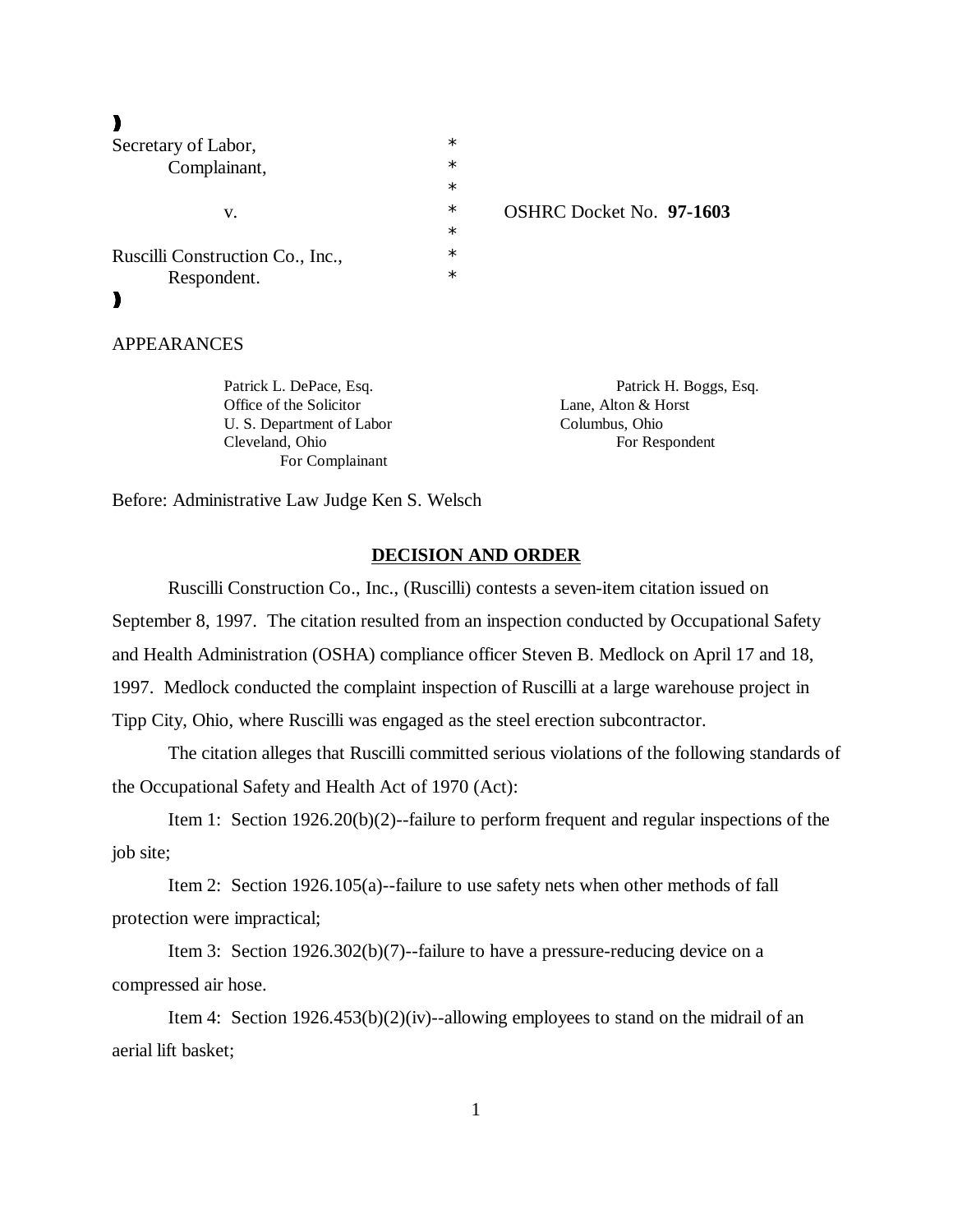))),

| Secretary of Labor,              | $\ast$ |                  |
|----------------------------------|--------|------------------|
| Complainant,<br>v.               | $\ast$ |                  |
|                                  | $\ast$ |                  |
|                                  | $\ast$ | <b>OSHRC</b> Doc |
|                                  | $\ast$ |                  |
| Ruscilli Construction Co., Inc., | $\ast$ |                  |
| Respondent.                      | $\ast$ |                  |
|                                  |        |                  |
|                                  |        |                  |

ket No. **97-1603** 

# APPEARANCES

Office of the Solicitor Lane, Alton & Horst U. S. Department of Labor Columbus, Ohio Cleveland, Ohio For Respondent For Complainant

Patrick L. DePace, Esq.  $\blacksquare$ 

Before: Administrative Law Judge Ken S. Welsch

#### **DECISION AND ORDER**

 Ruscilli Construction Co., Inc., (Ruscilli) contests a seven-item citation issued on September 8, 1997. The citation resulted from an inspection conducted by Occupational Safety and Health Administration (OSHA) compliance officer Steven B. Medlock on April 17 and 18, 1997. Medlock conducted the complaint inspection of Ruscilli at a large warehouse project in Tipp City, Ohio, where Ruscilli was engaged as the steel erection subcontractor.

The citation alleges that Ruscilli committed serious violations of the following standards of the Occupational Safety and Health Act of 1970 (Act):

Item 1: Section 1926.20(b)(2)--failure to perform frequent and regular inspections of the job site;

Item 2: Section 1926.105(a)--failure to use safety nets when other methods of fall protection were impractical;

Item 3: Section 1926.302(b)(7)--failure to have a pressure-reducing device on a compressed air hose.

Item 4: Section 1926.453(b)(2)(iv)--allowing employees to stand on the midrail of an aerial lift basket;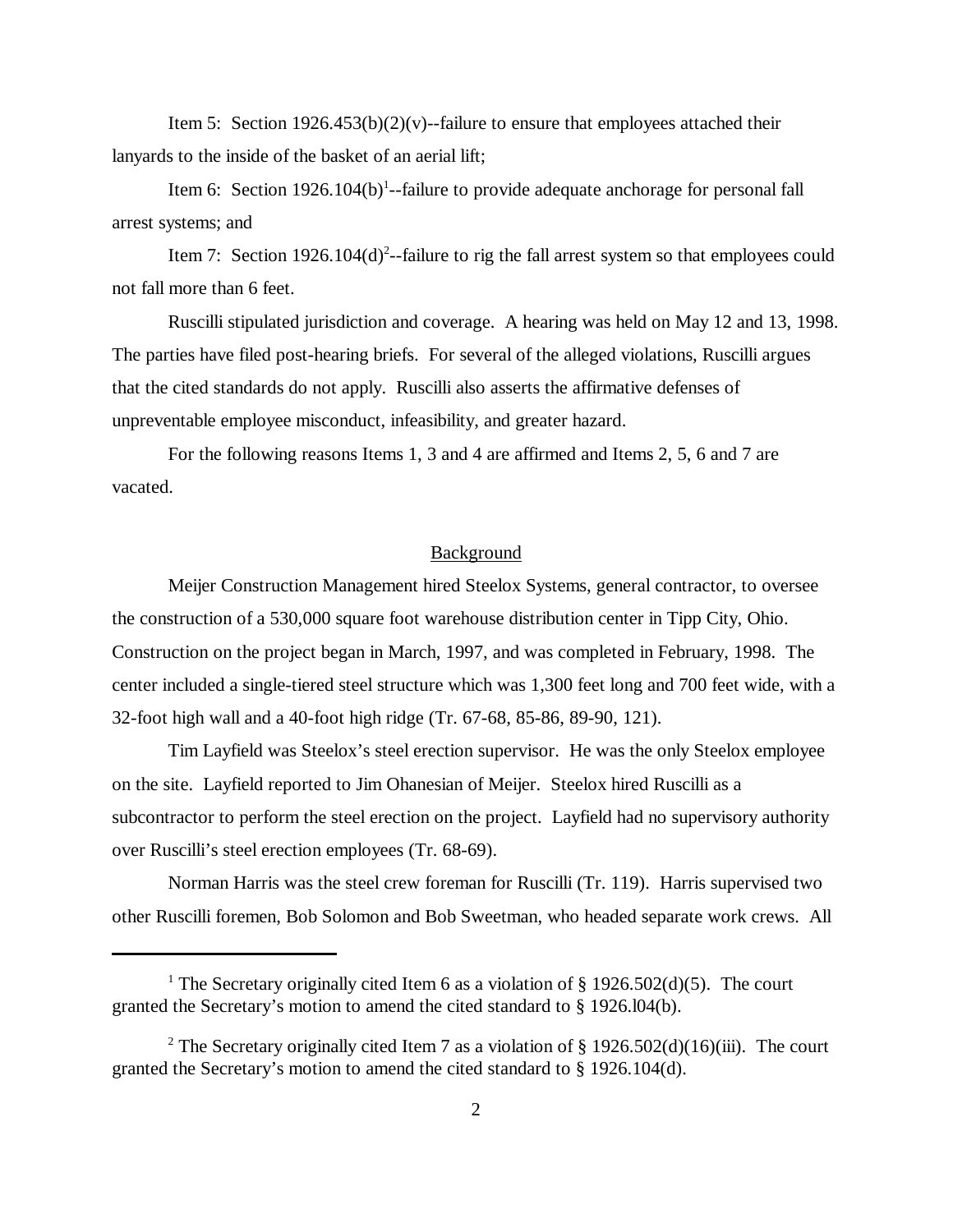Item 5: Section  $1926.453(b)(2)(v)$ --failure to ensure that employees attached their lanyards to the inside of the basket of an aerial lift;

Item 6: Section  $1926.104(b)$ <sup>1</sup>--failure to provide adequate anchorage for personal fall arrest systems; and

Item 7: Section 1926.104 $(d)^2$ -failure to rig the fall arrest system so that employees could not fall more than 6 feet.

Ruscilli stipulated jurisdiction and coverage. A hearing was held on May 12 and 13, 1998. The parties have filed post-hearing briefs. For several of the alleged violations, Ruscilli argues that the cited standards do not apply. Ruscilli also asserts the affirmative defenses of unpreventable employee misconduct, infeasibility, and greater hazard.

For the following reasons Items 1, 3 and 4 are affirmed and Items 2, 5, 6 and 7 are vacated.

### Background

Meijer Construction Management hired Steelox Systems, general contractor, to oversee the construction of a 530,000 square foot warehouse distribution center in Tipp City, Ohio. Construction on the project began in March, 1997, and was completed in February, 1998. The center included a single-tiered steel structure which was 1,300 feet long and 700 feet wide, with a 32-foot high wall and a 40-foot high ridge (Tr. 67-68, 85-86, 89-90, 121).

Tim Layfield was Steelox's steel erection supervisor. He was the only Steelox employee on the site. Layfield reported to Jim Ohanesian of Meijer. Steelox hired Ruscilli as a subcontractor to perform the steel erection on the project. Layfield had no supervisory authority over Ruscilli's steel erection employees (Tr. 68-69).

Norman Harris was the steel crew foreman for Ruscilli (Tr. 119). Harris supervised two other Ruscilli foremen, Bob Solomon and Bob Sweetman, who headed separate work crews. All

<sup>&</sup>lt;sup>1</sup> The Secretary originally cited Item 6 as a violation of § 1926.502(d)(5). The court granted the Secretary's motion to amend the cited standard to § 1926.l04(b).

<sup>&</sup>lt;sup>2</sup> The Secretary originally cited Item 7 as a violation of § 1926.502(d)(16)(iii). The court granted the Secretary's motion to amend the cited standard to § 1926.104(d).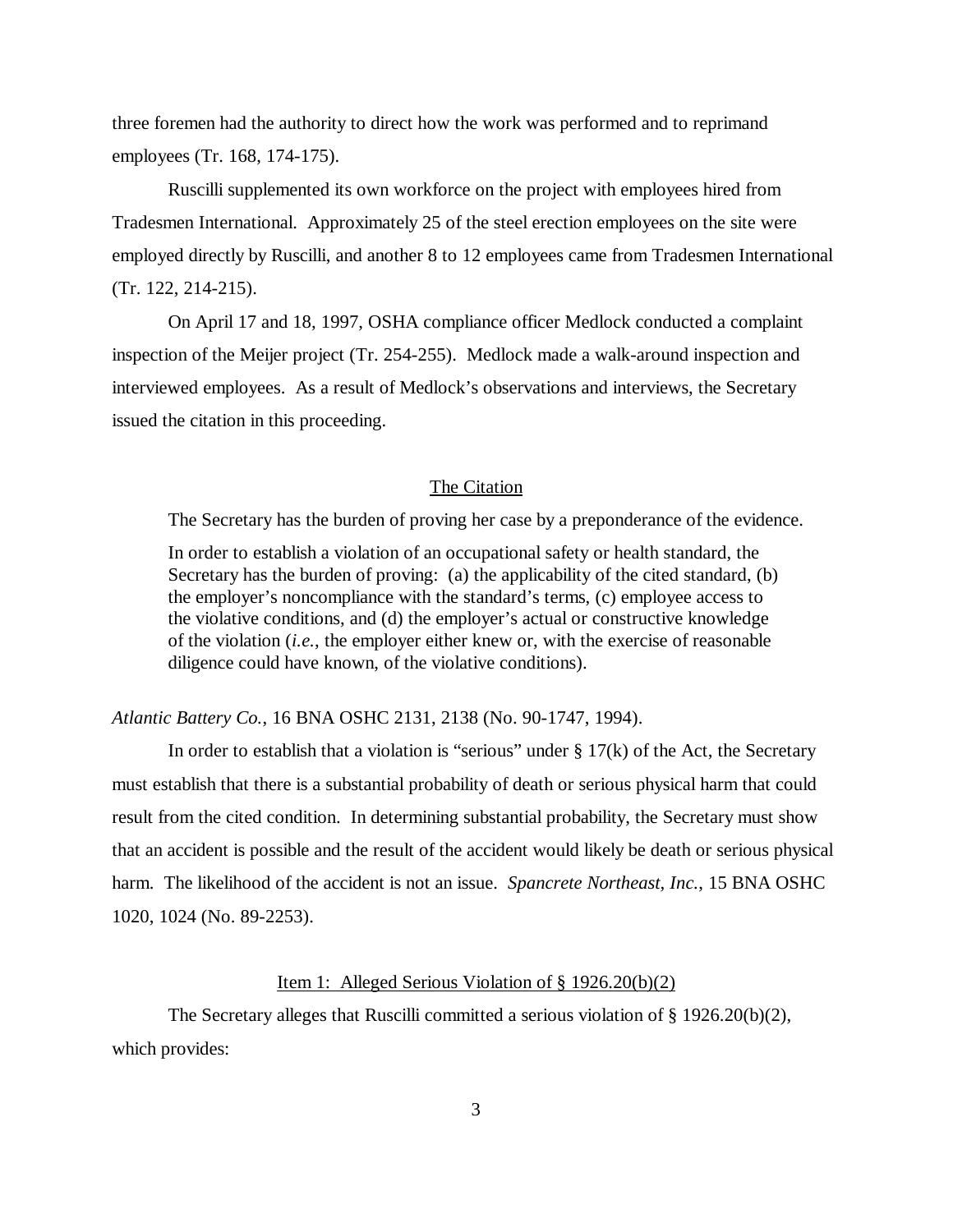three foremen had the authority to direct how the work was performed and to reprimand employees (Tr. 168, 174-175).

Ruscilli supplemented its own workforce on the project with employees hired from Tradesmen International. Approximately 25 of the steel erection employees on the site were employed directly by Ruscilli, and another 8 to 12 employees came from Tradesmen International (Tr. 122, 214-215).

On April 17 and 18, 1997, OSHA compliance officer Medlock conducted a complaint inspection of the Meijer project (Tr. 254-255). Medlock made a walk-around inspection and interviewed employees. As a result of Medlock's observations and interviews, the Secretary issued the citation in this proceeding.

#### The Citation

The Secretary has the burden of proving her case by a preponderance of the evidence.

In order to establish a violation of an occupational safety or health standard, the Secretary has the burden of proving: (a) the applicability of the cited standard, (b) the employer's noncompliance with the standard's terms, (c) employee access to the violative conditions, and (d) the employer's actual or constructive knowledge of the violation (*i.e.*, the employer either knew or, with the exercise of reasonable diligence could have known, of the violative conditions).

*Atlantic Battery Co.*, 16 BNA OSHC 2131, 2138 (No. 90-1747, 1994).

In order to establish that a violation is "serious" under  $\S 17(k)$  of the Act, the Secretary must establish that there is a substantial probability of death or serious physical harm that could result from the cited condition. In determining substantial probability, the Secretary must show that an accident is possible and the result of the accident would likely be death or serious physical harm. The likelihood of the accident is not an issue. *Spancrete Northeast, Inc.*, 15 BNA OSHC 1020, 1024 (No. 89-2253).

#### Item 1: Alleged Serious Violation of § 1926.20(b)(2)

The Secretary alleges that Ruscilli committed a serious violation of § 1926.20(b)(2), which provides: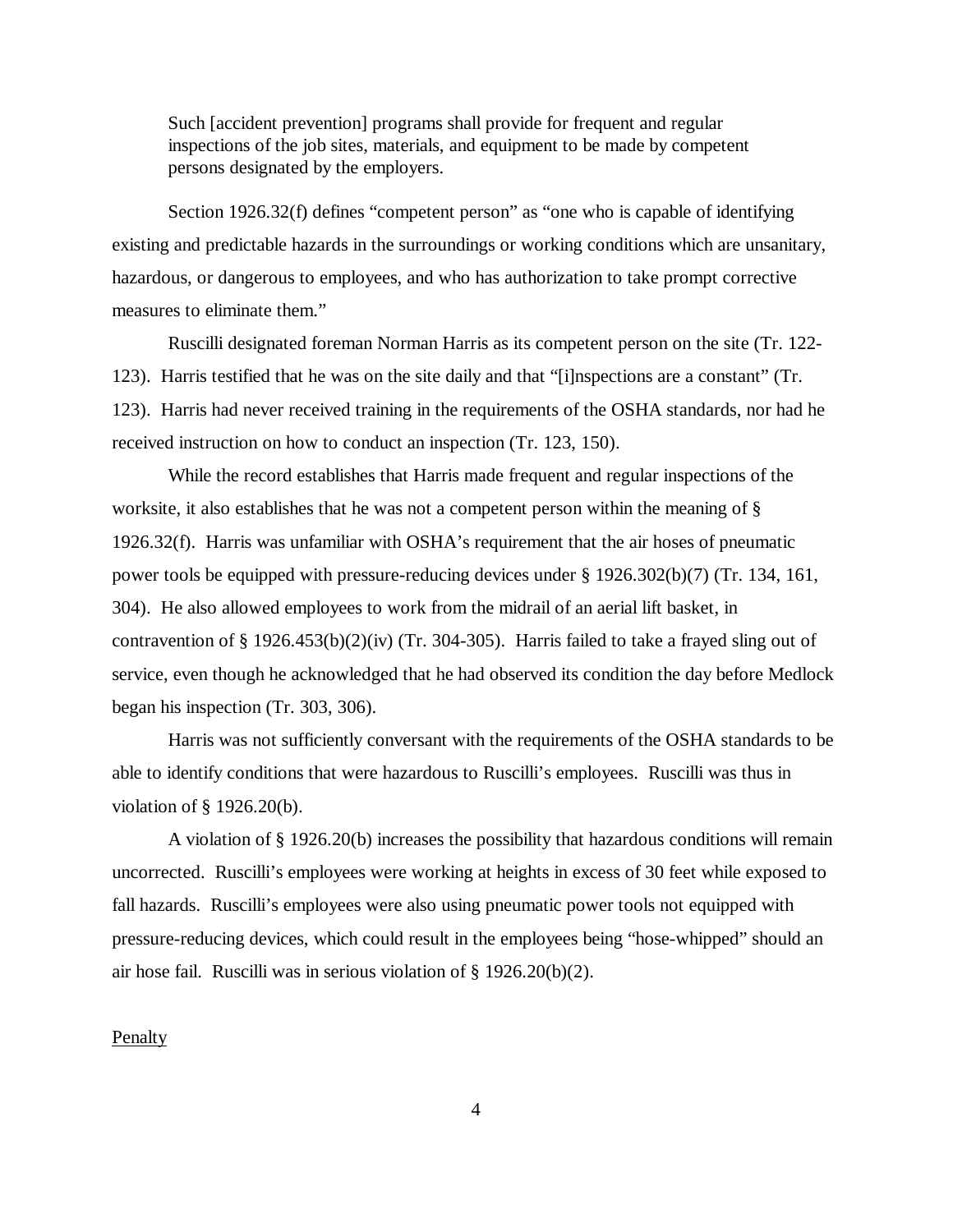Such [accident prevention] programs shall provide for frequent and regular inspections of the job sites, materials, and equipment to be made by competent persons designated by the employers.

Section 1926.32(f) defines "competent person" as "one who is capable of identifying existing and predictable hazards in the surroundings or working conditions which are unsanitary, hazardous, or dangerous to employees, and who has authorization to take prompt corrective measures to eliminate them."

Ruscilli designated foreman Norman Harris as its competent person on the site (Tr. 122- 123). Harris testified that he was on the site daily and that "[i]nspections are a constant" (Tr. 123). Harris had never received training in the requirements of the OSHA standards, nor had he received instruction on how to conduct an inspection (Tr. 123, 150).

While the record establishes that Harris made frequent and regular inspections of the worksite, it also establishes that he was not a competent person within the meaning of § 1926.32(f). Harris was unfamiliar with OSHA's requirement that the air hoses of pneumatic power tools be equipped with pressure-reducing devices under § 1926.302(b)(7) (Tr. 134, 161, 304). He also allowed employees to work from the midrail of an aerial lift basket, in contravention of § 1926.453(b)(2)(iv) (Tr. 304-305). Harris failed to take a frayed sling out of service, even though he acknowledged that he had observed its condition the day before Medlock began his inspection (Tr. 303, 306).

Harris was not sufficiently conversant with the requirements of the OSHA standards to be able to identify conditions that were hazardous to Ruscilli's employees. Ruscilli was thus in violation of § 1926.20(b).

A violation of § 1926.20(b) increases the possibility that hazardous conditions will remain uncorrected. Ruscilli's employees were working at heights in excess of 30 feet while exposed to fall hazards. Ruscilli's employees were also using pneumatic power tools not equipped with pressure-reducing devices, which could result in the employees being "hose-whipped" should an air hose fail. Ruscilli was in serious violation of § 1926.20(b)(2).

#### Penalty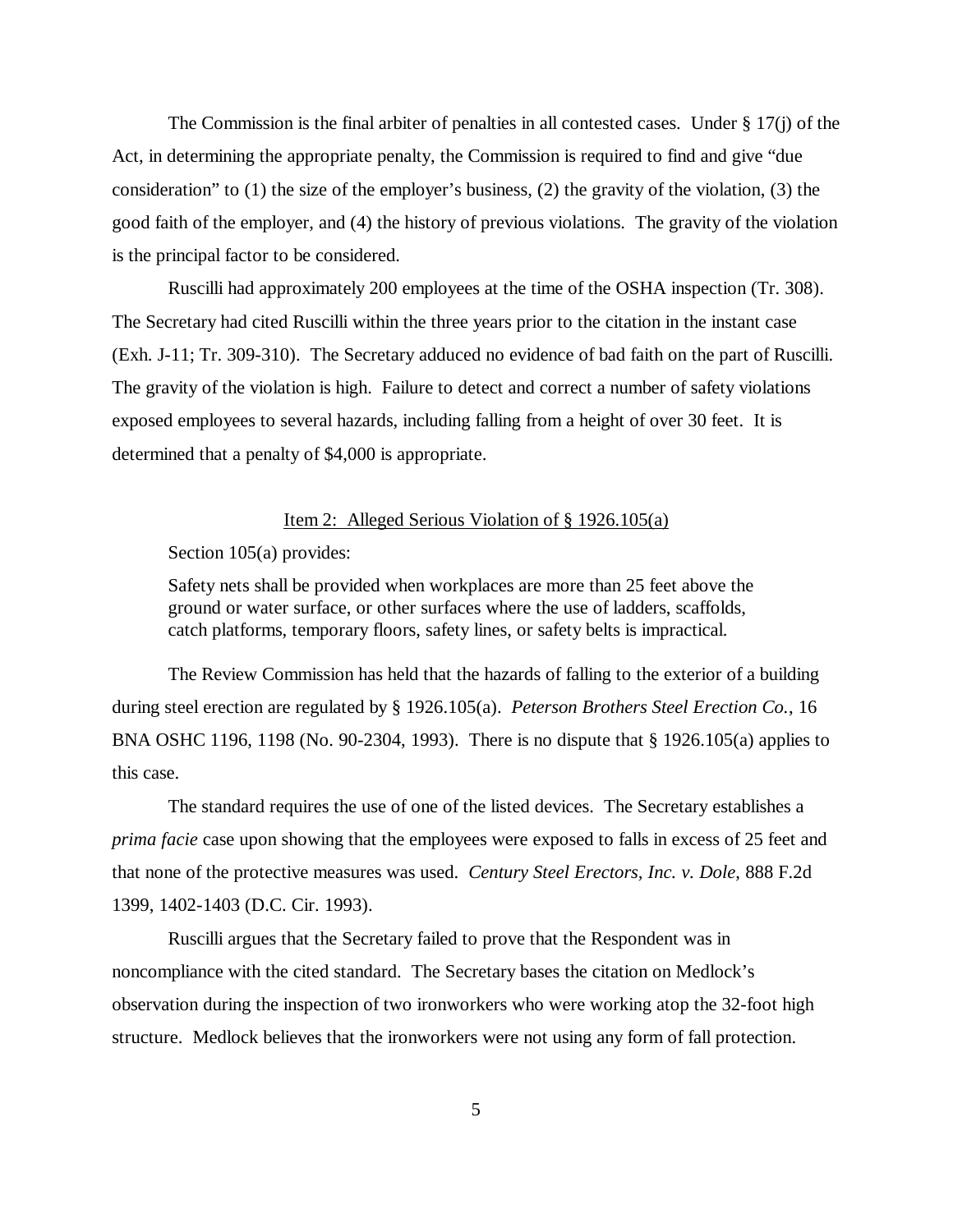The Commission is the final arbiter of penalties in all contested cases. Under § 17(j) of the Act, in determining the appropriate penalty, the Commission is required to find and give "due consideration" to (1) the size of the employer's business, (2) the gravity of the violation, (3) the good faith of the employer, and (4) the history of previous violations. The gravity of the violation is the principal factor to be considered.

Ruscilli had approximately 200 employees at the time of the OSHA inspection (Tr. 308). The Secretary had cited Ruscilli within the three years prior to the citation in the instant case (Exh. J-11; Tr. 309-310). The Secretary adduced no evidence of bad faith on the part of Ruscilli. The gravity of the violation is high. Failure to detect and correct a number of safety violations exposed employees to several hazards, including falling from a height of over 30 feet. It is determined that a penalty of \$4,000 is appropriate.

#### Item 2: Alleged Serious Violation of § 1926.105(a)

Section 105(a) provides:

Safety nets shall be provided when workplaces are more than 25 feet above the ground or water surface, or other surfaces where the use of ladders, scaffolds, catch platforms, temporary floors, safety lines, or safety belts is impractical.

The Review Commission has held that the hazards of falling to the exterior of a building during steel erection are regulated by § 1926.105(a). *Peterson Brothers Steel Erection Co.*, 16 BNA OSHC 1196, 1198 (No. 90-2304, 1993). There is no dispute that § 1926.105(a) applies to this case.

The standard requires the use of one of the listed devices. The Secretary establishes a *prima facie* case upon showing that the employees were exposed to falls in excess of 25 feet and that none of the protective measures was used. *Century Steel Erectors, Inc. v. Dole*, 888 F.2d 1399, 1402-1403 (D.C. Cir. 1993).

Ruscilli argues that the Secretary failed to prove that the Respondent was in noncompliance with the cited standard. The Secretary bases the citation on Medlock's observation during the inspection of two ironworkers who were working atop the 32-foot high structure. Medlock believes that the ironworkers were not using any form of fall protection.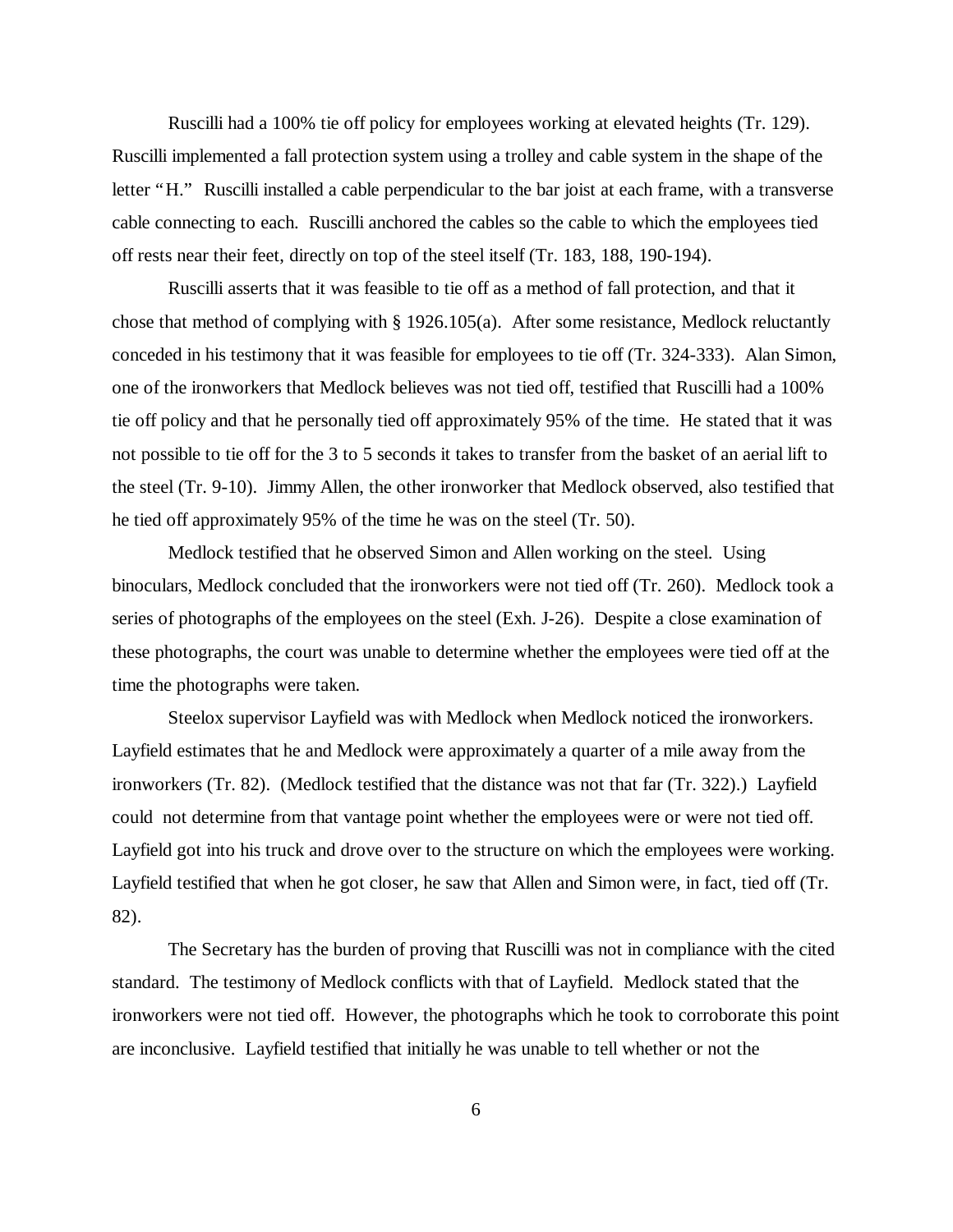Ruscilli had a 100% tie off policy for employees working at elevated heights (Tr. 129). Ruscilli implemented a fall protection system using a trolley and cable system in the shape of the letter "H." Ruscilli installed a cable perpendicular to the bar joist at each frame, with a transverse cable connecting to each. Ruscilli anchored the cables so the cable to which the employees tied off rests near their feet, directly on top of the steel itself (Tr. 183, 188, 190-194).

Ruscilli asserts that it was feasible to tie off as a method of fall protection, and that it chose that method of complying with § 1926.105(a). After some resistance, Medlock reluctantly conceded in his testimony that it was feasible for employees to tie off (Tr. 324-333). Alan Simon, one of the ironworkers that Medlock believes was not tied off, testified that Ruscilli had a 100% tie off policy and that he personally tied off approximately 95% of the time. He stated that it was not possible to tie off for the 3 to 5 seconds it takes to transfer from the basket of an aerial lift to the steel (Tr. 9-10). Jimmy Allen, the other ironworker that Medlock observed, also testified that he tied off approximately 95% of the time he was on the steel (Tr. 50).

Medlock testified that he observed Simon and Allen working on the steel. Using binoculars, Medlock concluded that the ironworkers were not tied off (Tr. 260). Medlock took a series of photographs of the employees on the steel (Exh. J-26). Despite a close examination of these photographs, the court was unable to determine whether the employees were tied off at the time the photographs were taken.

Steelox supervisor Layfield was with Medlock when Medlock noticed the ironworkers. Layfield estimates that he and Medlock were approximately a quarter of a mile away from the ironworkers (Tr. 82). (Medlock testified that the distance was not that far (Tr. 322).) Layfield could not determine from that vantage point whether the employees were or were not tied off. Layfield got into his truck and drove over to the structure on which the employees were working. Layfield testified that when he got closer, he saw that Allen and Simon were, in fact, tied off (Tr. 82).

The Secretary has the burden of proving that Ruscilli was not in compliance with the cited standard. The testimony of Medlock conflicts with that of Layfield. Medlock stated that the ironworkers were not tied off. However, the photographs which he took to corroborate this point are inconclusive. Layfield testified that initially he was unable to tell whether or not the

6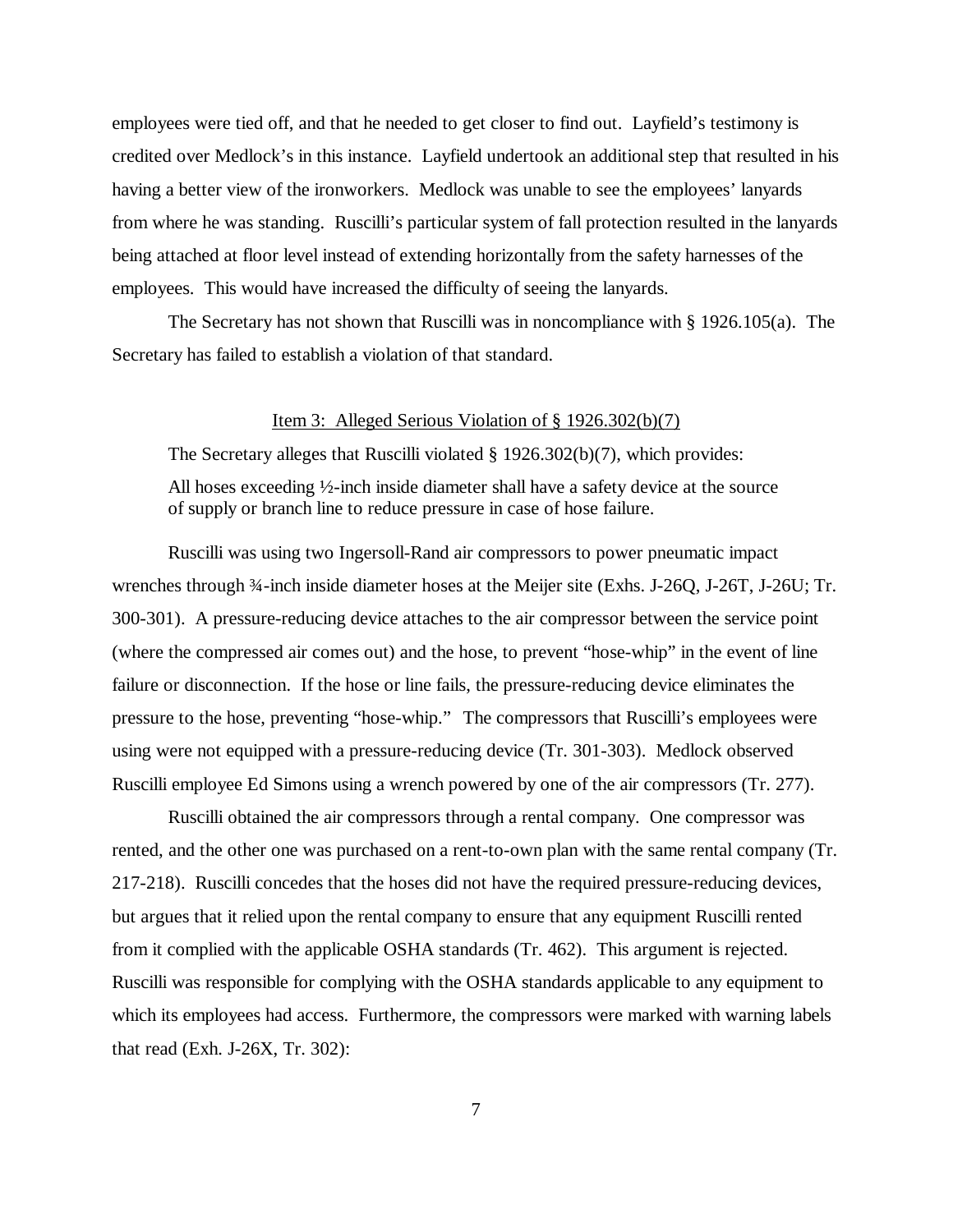employees were tied off, and that he needed to get closer to find out. Layfield's testimony is credited over Medlock's in this instance. Layfield undertook an additional step that resulted in his having a better view of the ironworkers. Medlock was unable to see the employees' lanyards from where he was standing. Ruscilli's particular system of fall protection resulted in the lanyards being attached at floor level instead of extending horizontally from the safety harnesses of the employees. This would have increased the difficulty of seeing the lanyards.

The Secretary has not shown that Ruscilli was in noncompliance with § 1926.105(a). The Secretary has failed to establish a violation of that standard.

#### Item 3: Alleged Serious Violation of § 1926.302(b)(7)

The Secretary alleges that Ruscilli violated § 1926.302(b)(7), which provides: All hoses exceeding ½-inch inside diameter shall have a safety device at the source of supply or branch line to reduce pressure in case of hose failure.

Ruscilli was using two Ingersoll-Rand air compressors to power pneumatic impact wrenches through ¾-inch inside diameter hoses at the Meijer site (Exhs. J-26Q, J-26T, J-26U; Tr. 300-301). A pressure-reducing device attaches to the air compressor between the service point (where the compressed air comes out) and the hose, to prevent "hose-whip" in the event of line failure or disconnection. If the hose or line fails, the pressure-reducing device eliminates the pressure to the hose, preventing "hose-whip." The compressors that Ruscilli's employees were using were not equipped with a pressure-reducing device (Tr. 301-303). Medlock observed Ruscilli employee Ed Simons using a wrench powered by one of the air compressors (Tr. 277).

Ruscilli obtained the air compressors through a rental company. One compressor was rented, and the other one was purchased on a rent-to-own plan with the same rental company (Tr. 217-218). Ruscilli concedes that the hoses did not have the required pressure-reducing devices, but argues that it relied upon the rental company to ensure that any equipment Ruscilli rented from it complied with the applicable OSHA standards (Tr. 462). This argument is rejected. Ruscilli was responsible for complying with the OSHA standards applicable to any equipment to which its employees had access. Furthermore, the compressors were marked with warning labels that read (Exh. J-26X, Tr. 302):

7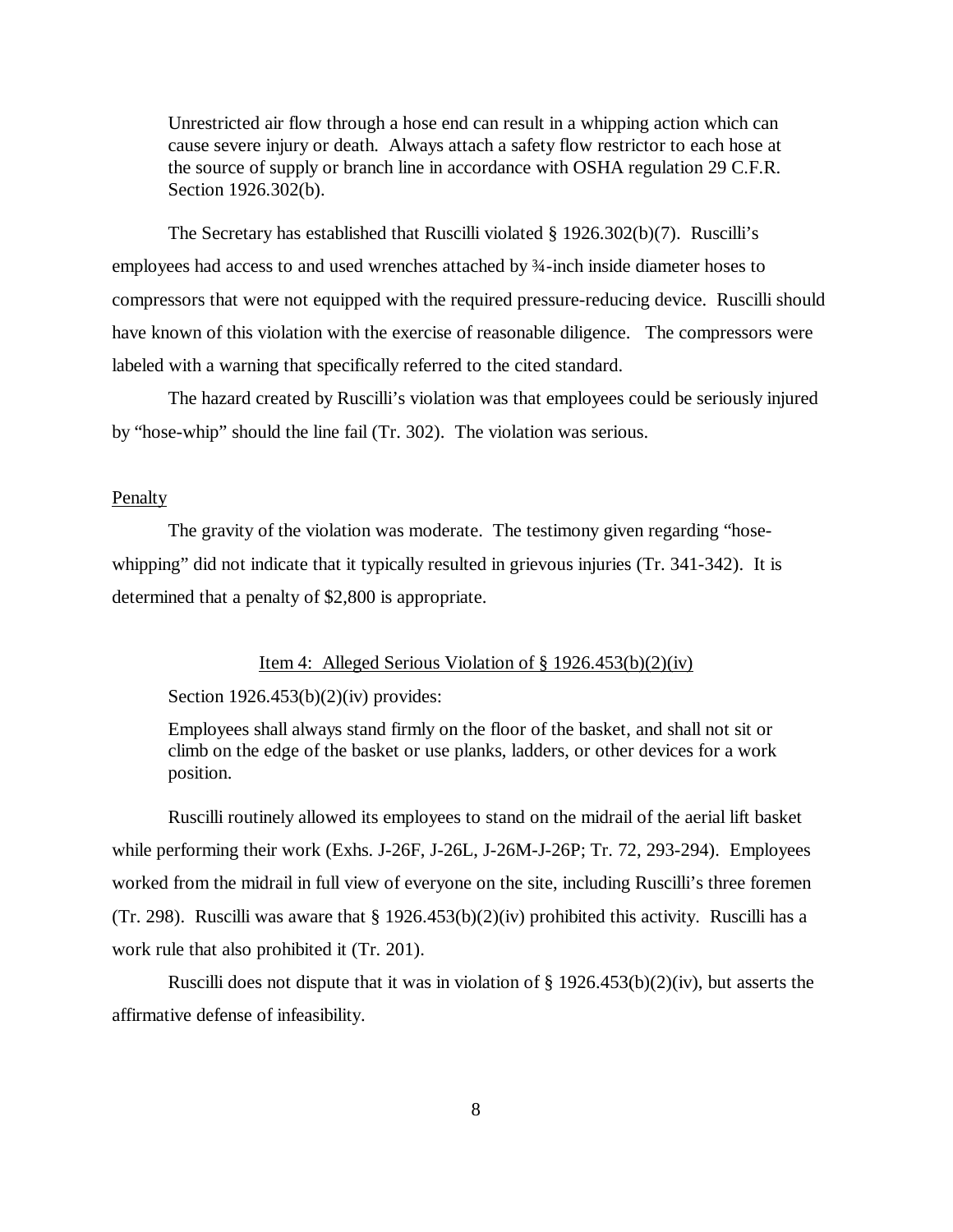Unrestricted air flow through a hose end can result in a whipping action which can cause severe injury or death. Always attach a safety flow restrictor to each hose at the source of supply or branch line in accordance with OSHA regulation 29 C.F.R. Section 1926.302(b).

The Secretary has established that Ruscilli violated § 1926.302(b)(7). Ruscilli's employees had access to and used wrenches attached by ¾-inch inside diameter hoses to compressors that were not equipped with the required pressure-reducing device. Ruscilli should have known of this violation with the exercise of reasonable diligence. The compressors were labeled with a warning that specifically referred to the cited standard.

The hazard created by Ruscilli's violation was that employees could be seriously injured by "hose-whip" should the line fail (Tr. 302). The violation was serious.

#### Penalty

The gravity of the violation was moderate. The testimony given regarding "hosewhipping" did not indicate that it typically resulted in grievous injuries (Tr. 341-342). It is determined that a penalty of \$2,800 is appropriate.

#### Item 4: Alleged Serious Violation of § 1926.453(b)(2)(iv)

Section  $1926.453(b)(2)(iv)$  provides:

Employees shall always stand firmly on the floor of the basket, and shall not sit or climb on the edge of the basket or use planks, ladders, or other devices for a work position.

Ruscilli routinely allowed its employees to stand on the midrail of the aerial lift basket while performing their work (Exhs. J-26F, J-26L, J-26M-J-26P; Tr. 72, 293-294). Employees worked from the midrail in full view of everyone on the site, including Ruscilli's three foremen (Tr. 298). Ruscilli was aware that  $\S 1926.453(b)(2)(iv)$  prohibited this activity. Ruscilli has a work rule that also prohibited it (Tr. 201).

Ruscilli does not dispute that it was in violation of  $\S 1926.453(b)(2)(iv)$ , but asserts the affirmative defense of infeasibility.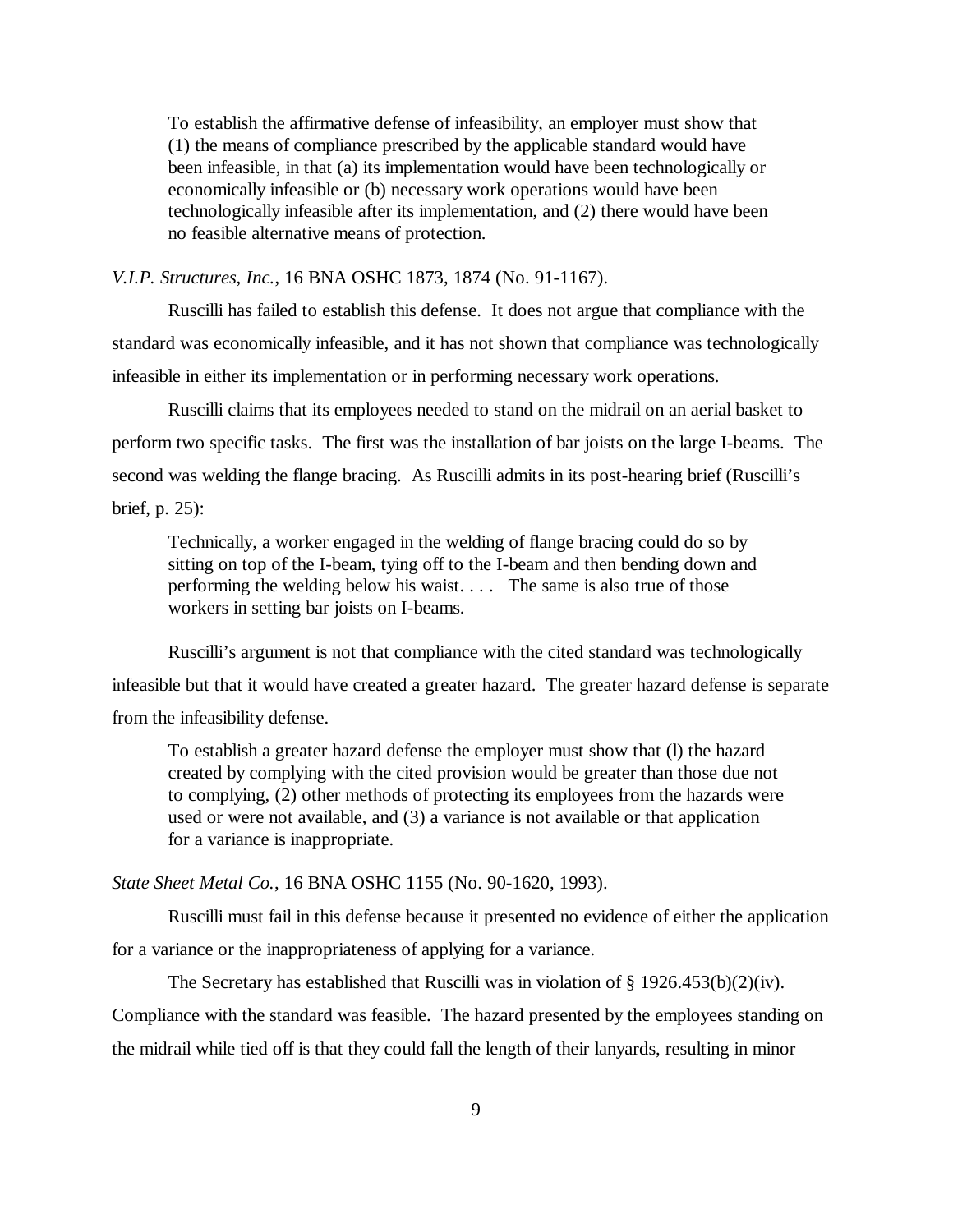To establish the affirmative defense of infeasibility, an employer must show that (1) the means of compliance prescribed by the applicable standard would have been infeasible, in that (a) its implementation would have been technologically or economically infeasible or (b) necessary work operations would have been technologically infeasible after its implementation, and (2) there would have been no feasible alternative means of protection.

*V.I.P. Structures, Inc.*, 16 BNA OSHC 1873, 1874 (No. 91-1167).

Ruscilli has failed to establish this defense. It does not argue that compliance with the standard was economically infeasible, and it has not shown that compliance was technologically infeasible in either its implementation or in performing necessary work operations.

Ruscilli claims that its employees needed to stand on the midrail on an aerial basket to perform two specific tasks. The first was the installation of bar joists on the large I-beams. The second was welding the flange bracing. As Ruscilli admits in its post-hearing brief (Ruscilli's brief, p. 25):

Technically, a worker engaged in the welding of flange bracing could do so by sitting on top of the I-beam, tying off to the I-beam and then bending down and performing the welding below his waist. . . . The same is also true of those workers in setting bar joists on I-beams.

Ruscilli's argument is not that compliance with the cited standard was technologically infeasible but that it would have created a greater hazard. The greater hazard defense is separate from the infeasibility defense.

To establish a greater hazard defense the employer must show that (l) the hazard created by complying with the cited provision would be greater than those due not to complying, (2) other methods of protecting its employees from the hazards were used or were not available, and (3) a variance is not available or that application for a variance is inappropriate.

*State Sheet Metal Co.*, 16 BNA OSHC 1155 (No. 90-1620, 1993).

Ruscilli must fail in this defense because it presented no evidence of either the application for a variance or the inappropriateness of applying for a variance.

The Secretary has established that Ruscilli was in violation of  $\S 1926.453(b)(2)(iv)$ .

Compliance with the standard was feasible. The hazard presented by the employees standing on the midrail while tied off is that they could fall the length of their lanyards, resulting in minor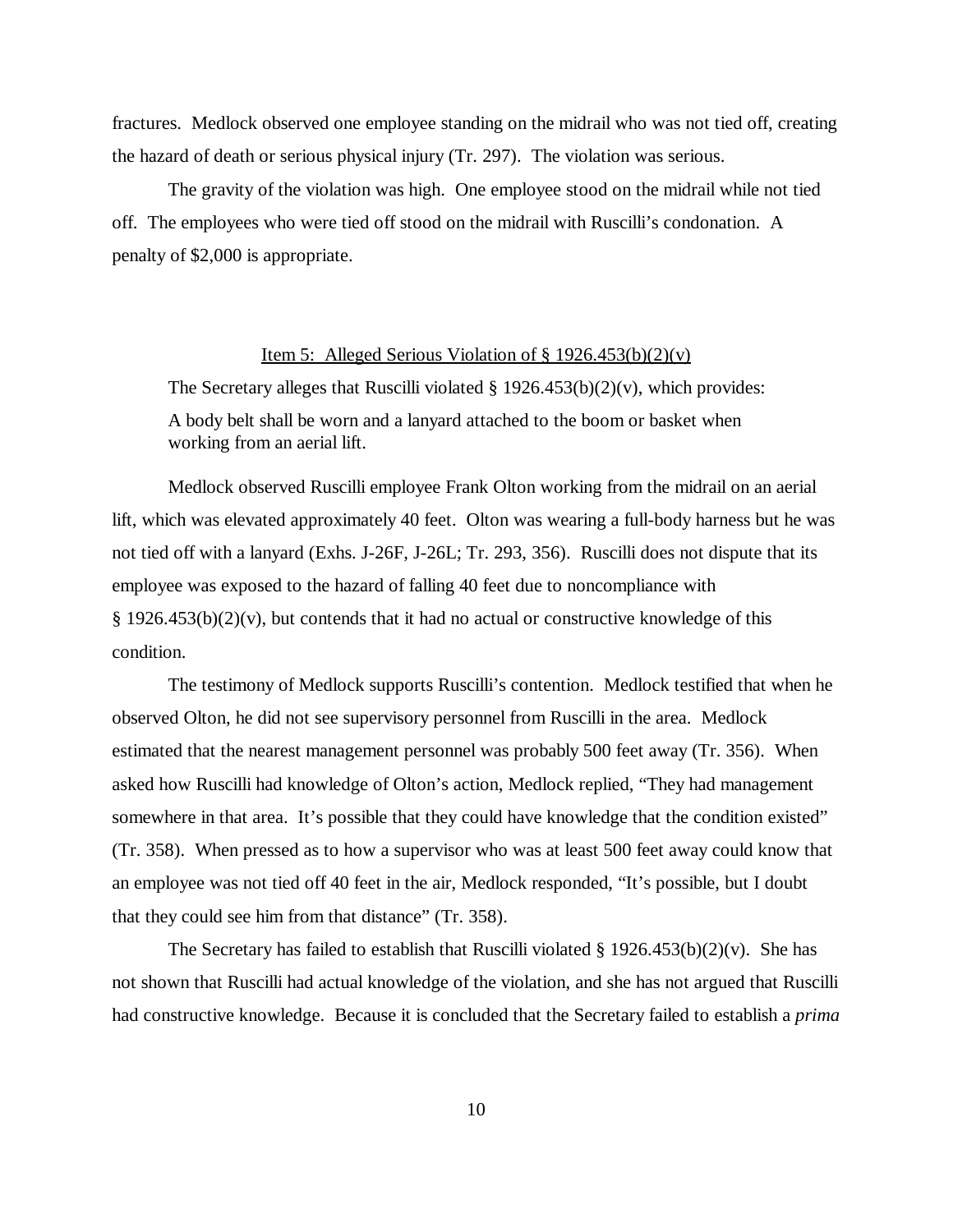fractures. Medlock observed one employee standing on the midrail who was not tied off, creating the hazard of death or serious physical injury (Tr. 297). The violation was serious.

The gravity of the violation was high. One employee stood on the midrail while not tied off. The employees who were tied off stood on the midrail with Ruscilli's condonation. A penalty of \$2,000 is appropriate.

### Item 5: Alleged Serious Violation of  $\S 1926.453(b)(2)(v)$

The Secretary alleges that Ruscilli violated  $\S$  1926.453(b)(2)(v), which provides: A body belt shall be worn and a lanyard attached to the boom or basket when working from an aerial lift.

Medlock observed Ruscilli employee Frank Olton working from the midrail on an aerial lift, which was elevated approximately 40 feet. Olton was wearing a full-body harness but he was not tied off with a lanyard (Exhs. J-26F, J-26L; Tr. 293, 356). Ruscilli does not dispute that its employee was exposed to the hazard of falling 40 feet due to noncompliance with  $\S 1926.453(b)(2)(v)$ , but contends that it had no actual or constructive knowledge of this condition.

The testimony of Medlock supports Ruscilli's contention. Medlock testified that when he observed Olton, he did not see supervisory personnel from Ruscilli in the area. Medlock estimated that the nearest management personnel was probably 500 feet away (Tr. 356). When asked how Ruscilli had knowledge of Olton's action, Medlock replied, "They had management somewhere in that area. It's possible that they could have knowledge that the condition existed" (Tr. 358). When pressed as to how a supervisor who was at least 500 feet away could know that an employee was not tied off 40 feet in the air, Medlock responded, "It's possible, but I doubt that they could see him from that distance" (Tr. 358).

The Secretary has failed to establish that Ruscilli violated  $\S 1926.453(b)(2)(v)$ . She has not shown that Ruscilli had actual knowledge of the violation, and she has not argued that Ruscilli had constructive knowledge. Because it is concluded that the Secretary failed to establish a *prima*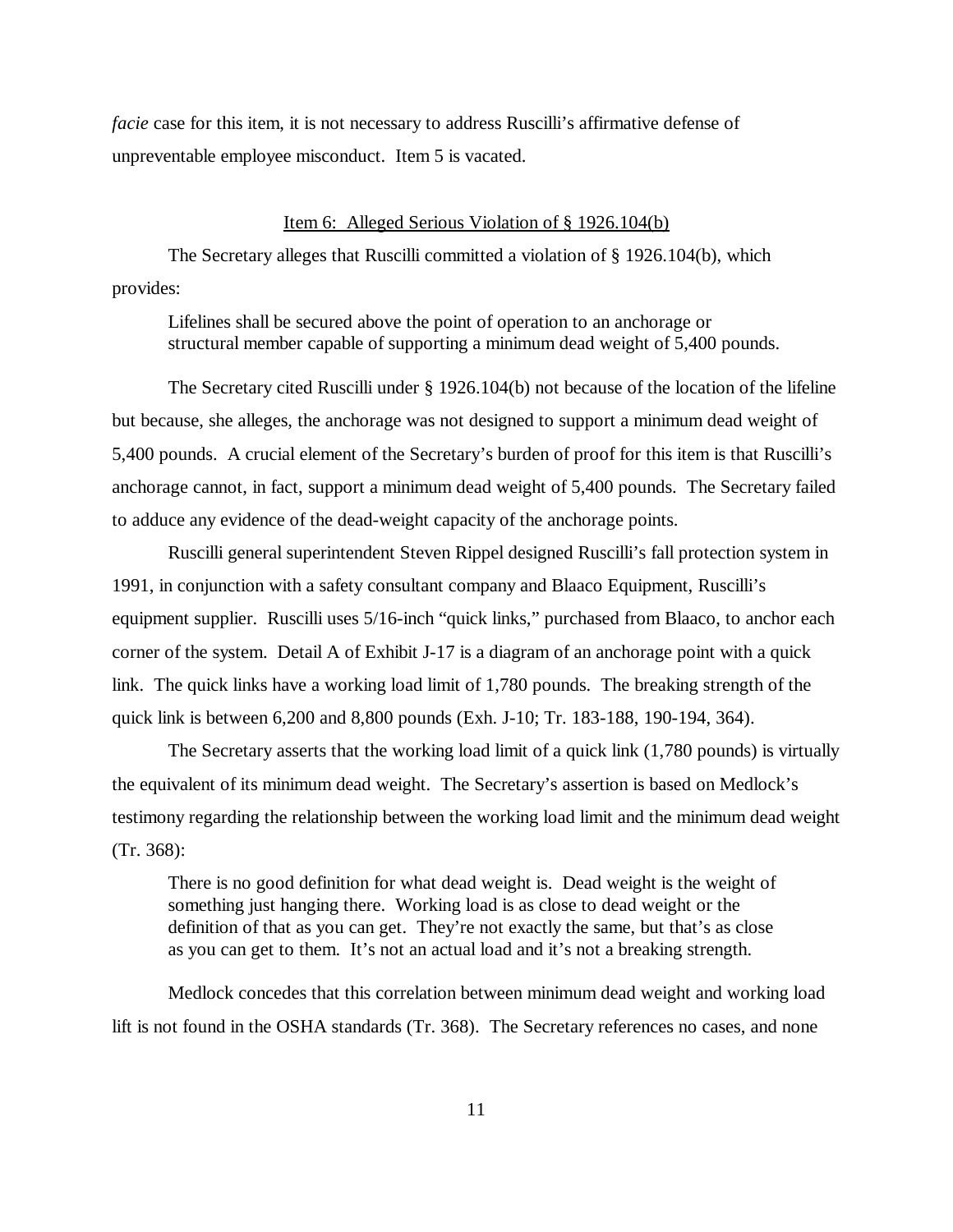*facie* case for this item, it is not necessary to address Ruscilli's affirmative defense of unpreventable employee misconduct. Item 5 is vacated.

#### Item 6: Alleged Serious Violation of § 1926.104(b)

The Secretary alleges that Ruscilli committed a violation of § 1926.104(b), which provides:

Lifelines shall be secured above the point of operation to an anchorage or structural member capable of supporting a minimum dead weight of 5,400 pounds.

The Secretary cited Ruscilli under § 1926.104(b) not because of the location of the lifeline but because, she alleges, the anchorage was not designed to support a minimum dead weight of 5,400 pounds. A crucial element of the Secretary's burden of proof for this item is that Ruscilli's anchorage cannot, in fact, support a minimum dead weight of 5,400 pounds. The Secretary failed to adduce any evidence of the dead-weight capacity of the anchorage points.

Ruscilli general superintendent Steven Rippel designed Ruscilli's fall protection system in 1991, in conjunction with a safety consultant company and Blaaco Equipment, Ruscilli's equipment supplier. Ruscilli uses 5/16-inch "quick links," purchased from Blaaco, to anchor each corner of the system. Detail A of Exhibit J-17 is a diagram of an anchorage point with a quick link. The quick links have a working load limit of 1,780 pounds. The breaking strength of the quick link is between 6,200 and 8,800 pounds (Exh. J-10; Tr. 183-188, 190-194, 364).

The Secretary asserts that the working load limit of a quick link (1,780 pounds) is virtually the equivalent of its minimum dead weight. The Secretary's assertion is based on Medlock's testimony regarding the relationship between the working load limit and the minimum dead weight (Tr. 368):

There is no good definition for what dead weight is. Dead weight is the weight of something just hanging there. Working load is as close to dead weight or the definition of that as you can get. They're not exactly the same, but that's as close as you can get to them. It's not an actual load and it's not a breaking strength.

Medlock concedes that this correlation between minimum dead weight and working load lift is not found in the OSHA standards (Tr. 368). The Secretary references no cases, and none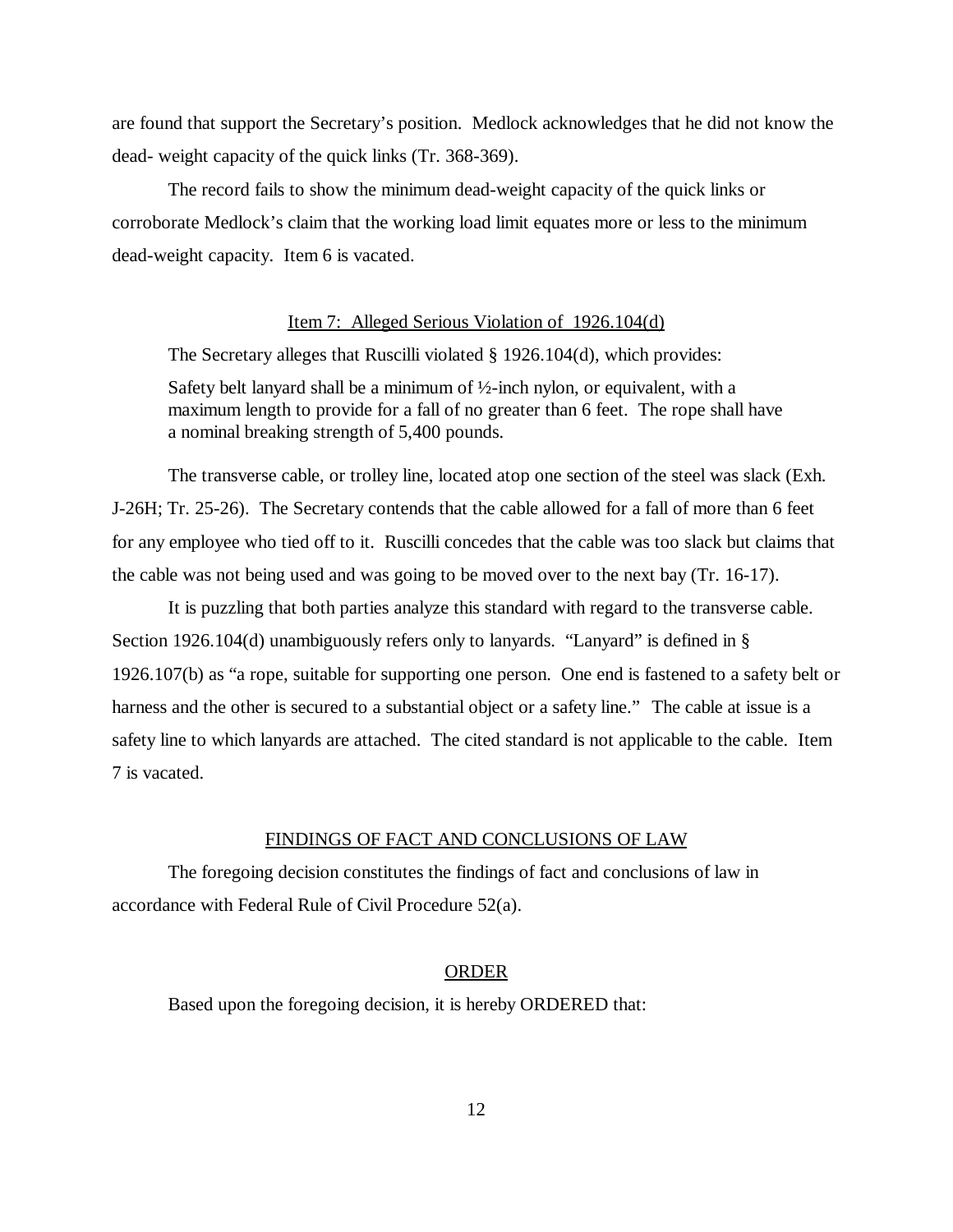are found that support the Secretary's position. Medlock acknowledges that he did not know the dead- weight capacity of the quick links (Tr. 368-369).

The record fails to show the minimum dead-weight capacity of the quick links or corroborate Medlock's claim that the working load limit equates more or less to the minimum dead-weight capacity. Item 6 is vacated.

#### Item 7: Alleged Serious Violation of 1926.104(d)

The Secretary alleges that Ruscilli violated § 1926.104(d), which provides:

Safety belt lanyard shall be a minimum of  $\frac{1}{2}$ -inch nylon, or equivalent, with a maximum length to provide for a fall of no greater than 6 feet. The rope shall have a nominal breaking strength of 5,400 pounds.

The transverse cable, or trolley line, located atop one section of the steel was slack (Exh. J-26H; Tr. 25-26). The Secretary contends that the cable allowed for a fall of more than 6 feet for any employee who tied off to it. Ruscilli concedes that the cable was too slack but claims that the cable was not being used and was going to be moved over to the next bay (Tr. 16-17).

It is puzzling that both parties analyze this standard with regard to the transverse cable. Section 1926.104(d) unambiguously refers only to lanyards. "Lanyard" is defined in § 1926.107(b) as "a rope, suitable for supporting one person. One end is fastened to a safety belt or harness and the other is secured to a substantial object or a safety line." The cable at issue is a safety line to which lanyards are attached. The cited standard is not applicable to the cable. Item 7 is vacated.

#### FINDINGS OF FACT AND CONCLUSIONS OF LAW

The foregoing decision constitutes the findings of fact and conclusions of law in accordance with Federal Rule of Civil Procedure 52(a).

#### ORDER

Based upon the foregoing decision, it is hereby ORDERED that: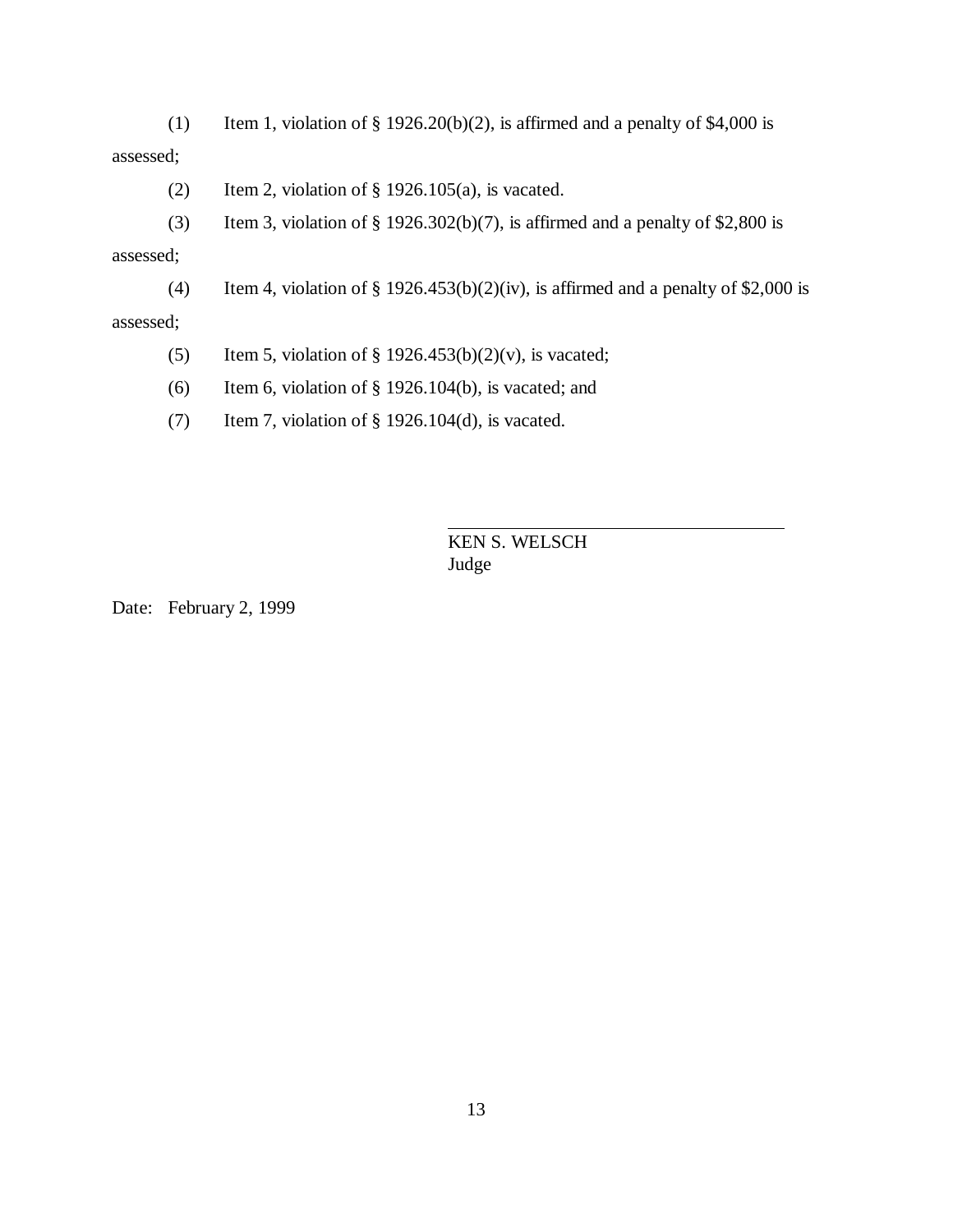(1) Item 1, violation of  $\S 1926.20(b)(2)$ , is affirmed and a penalty of \$4,000 is assessed;

- (2) Item 2, violation of  $\S$  1926.105(a), is vacated.
- (3) Item 3, violation of  $\S 1926.302(b)(7)$ , is affirmed and a penalty of \$2,800 is

#### assessed;

(4) Item 4, violation of  $\S 1926.453(b)(2)(iv)$ , is affirmed and a penalty of \$2,000 is

#### assessed;

- (5) Item 5, violation of  $\S$  1926.453(b)(2)(v), is vacated;
- (6) Item 6, violation of  $\S$  1926.104(b), is vacated; and
- (7) Item 7, violation of § 1926.104(d), is vacated.

# KEN S. WELSCH Judge

 $\overline{a}$ 

Date: February 2, 1999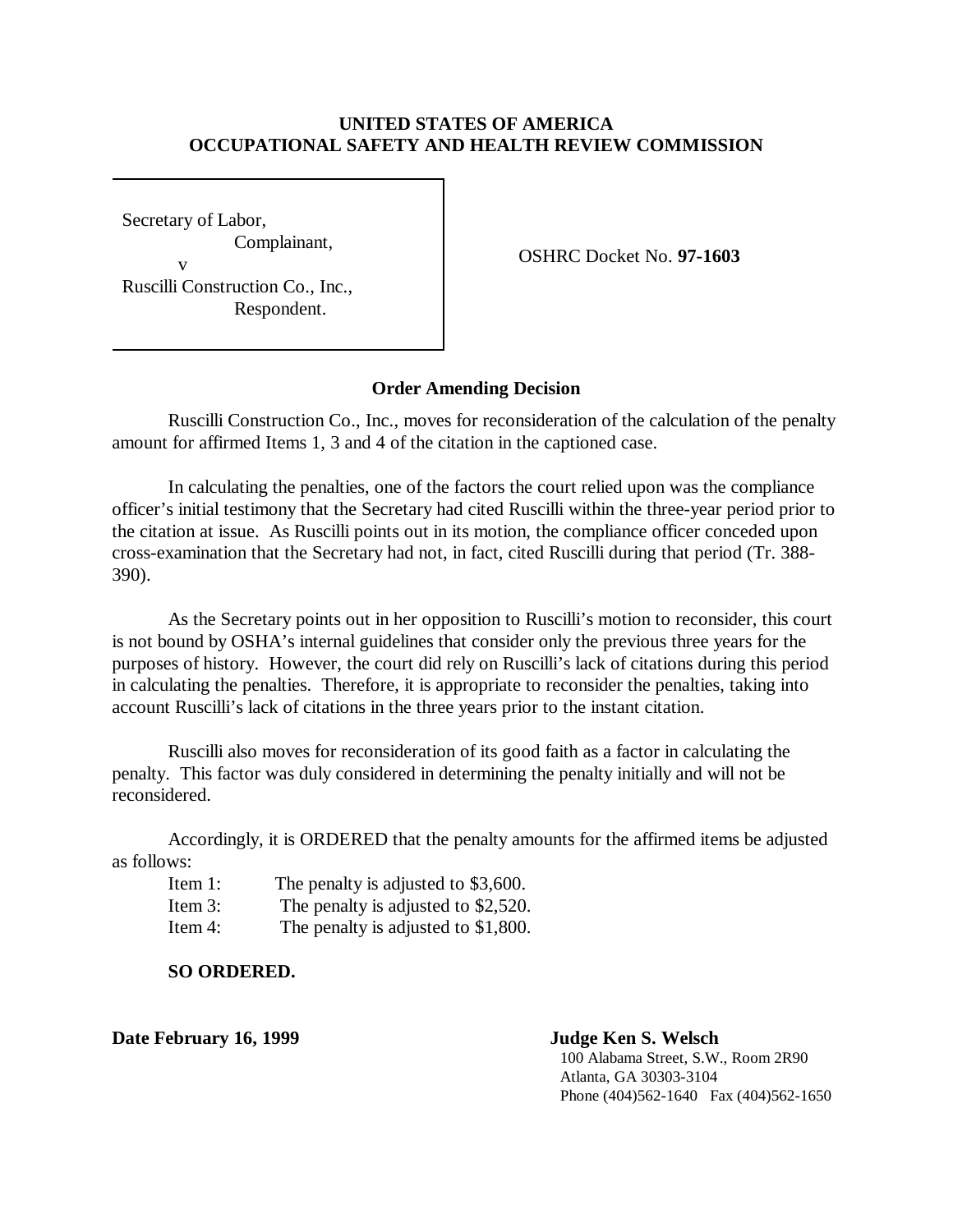# **UNITED STATES OF AMERICA OCCUPATIONAL SAFETY AND HEALTH REVIEW COMMISSION**

Secretary of Labor, Complainant, v Ruscilli Construction Co., Inc., Respondent.

OSHRC Docket No. **97-1603**

# **Order Amending Decision**

Ruscilli Construction Co., Inc., moves for reconsideration of the calculation of the penalty amount for affirmed Items 1, 3 and 4 of the citation in the captioned case.

In calculating the penalties, one of the factors the court relied upon was the compliance officer's initial testimony that the Secretary had cited Ruscilli within the three-year period prior to the citation at issue. As Ruscilli points out in its motion, the compliance officer conceded upon cross-examination that the Secretary had not, in fact, cited Ruscilli during that period (Tr. 388- 390).

As the Secretary points out in her opposition to Ruscilli's motion to reconsider, this court is not bound by OSHA's internal guidelines that consider only the previous three years for the purposes of history. However, the court did rely on Ruscilli's lack of citations during this period in calculating the penalties. Therefore, it is appropriate to reconsider the penalties, taking into account Ruscilli's lack of citations in the three years prior to the instant citation.

Ruscilli also moves for reconsideration of its good faith as a factor in calculating the penalty. This factor was duly considered in determining the penalty initially and will not be reconsidered.

Accordingly, it is ORDERED that the penalty amounts for the affirmed items be adjusted as follows:

- Item 1: The penalty is adjusted to \$3,600.
- Item 3: The penalty is adjusted to \$2,520.
- Item 4: The penalty is adjusted to \$1,800.

**SO ORDERED.**

**Date February 16, 1999 Judge Ken S. Welsch**

100 Alabama Street, S.W., Room 2R90 Atlanta, GA 30303-3104 Phone (404)562-1640 Fax (404)562-1650